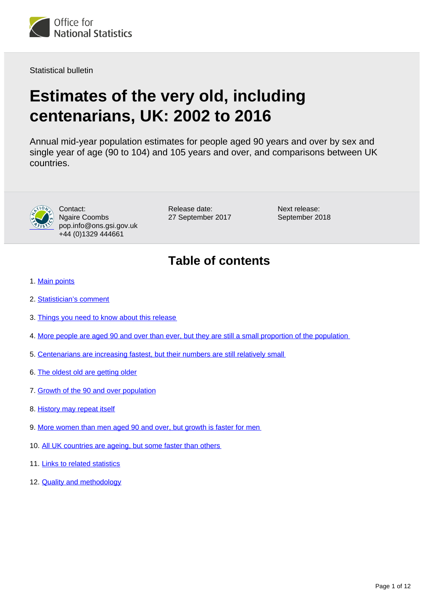

Statistical bulletin

# **Estimates of the very old, including centenarians, UK: 2002 to 2016**

Annual mid-year population estimates for people aged 90 years and over by sex and single year of age (90 to 104) and 105 years and over, and comparisons between UK countries.



Contact: Ngaire Coombs pop.info@ons.gsi.gov.uk +44 (0)1329 444661

Release date: 27 September 2017 Next release: September 2018

# **Table of contents**

- 1. [Main points](#page-1-0)
- 2. [Statistician's comment](#page-1-1)
- 3. [Things you need to know about this release](#page-1-2)
- 4. [More people are aged 90 and over than ever, but they are still a small proportion of the population](#page-1-3)
- 5. [Centenarians are increasing fastest, but their numbers are still relatively small](#page-5-0)
- 6. [The oldest old are getting older](#page-5-1)
- 7. [Growth of the 90 and over population](#page-7-0)
- 8. [History may repeat itself](#page-7-1)
- 9. [More women than men aged 90 and over, but growth is faster for men](#page-8-0)
- 10. [All UK countries are ageing, but some faster than others](#page-9-0)
- 11. [Links to related statistics](#page-10-0)
- 12. **[Quality and methodology](#page-10-1)**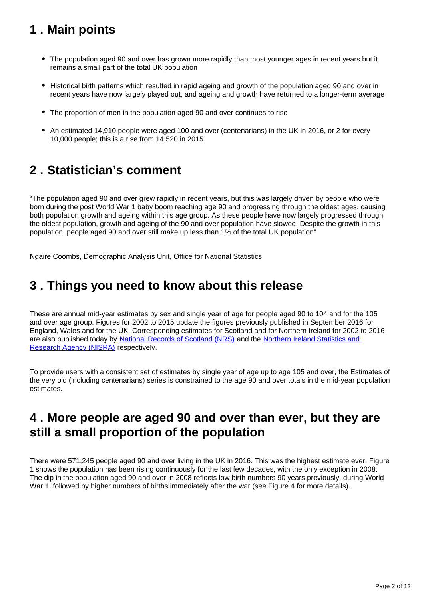# <span id="page-1-0"></span>**1 . Main points**

- The population aged 90 and over has grown more rapidly than most younger ages in recent years but it remains a small part of the total UK population
- Historical birth patterns which resulted in rapid ageing and growth of the population aged 90 and over in recent years have now largely played out, and ageing and growth have returned to a longer-term average
- The proportion of men in the population aged 90 and over continues to rise
- An estimated 14,910 people were aged 100 and over (centenarians) in the UK in 2016, or 2 for every 10,000 people; this is a rise from 14,520 in 2015

### <span id="page-1-1"></span>**2 . Statistician's comment**

"The population aged 90 and over grew rapidly in recent years, but this was largely driven by people who were born during the post World War 1 baby boom reaching age 90 and progressing through the oldest ages, causing both population growth and ageing within this age group. As these people have now largely progressed through the oldest population, growth and ageing of the 90 and over population have slowed. Despite the growth in this population, people aged 90 and over still make up less than 1% of the total UK population"

Ngaire Coombs, Demographic Analysis Unit, Office for National Statistics

### <span id="page-1-2"></span>**3 . Things you need to know about this release**

These are annual mid-year estimates by sex and single year of age for people aged 90 to 104 and for the 105 and over age group. Figures for 2002 to 2015 update the figures previously published in September 2016 for England, Wales and for the UK. Corresponding estimates for Scotland and for Northern Ireland for 2002 to 2016 are also published today by [National Records of Scotland \(NRS\)](http://www.nrscotland.gov.uk/statistics-and-data/statistics/statistics-by-theme/population/population-estimates/estimates-of-special-populations/population-estimates-for-scottish-centenarians) and the [Northern Ireland Statistics and](http://www.nisra.gov.uk/demography/default.asp134.htm)  [Research Agency \(NISRA\)](http://www.nisra.gov.uk/demography/default.asp134.htm) respectively.

To provide users with a consistent set of estimates by single year of age up to age 105 and over, the Estimates of the very old (including centenarians) series is constrained to the age 90 and over totals in the mid-year population estimates.

### <span id="page-1-3"></span>**4 . More people are aged 90 and over than ever, but they are still a small proportion of the population**

There were 571,245 people aged 90 and over living in the UK in 2016. This was the highest estimate ever. Figure 1 shows the population has been rising continuously for the last few decades, with the only exception in 2008. The dip in the population aged 90 and over in 2008 reflects low birth numbers 90 years previously, during World War 1, followed by higher numbers of births immediately after the war (see Figure 4 for more details).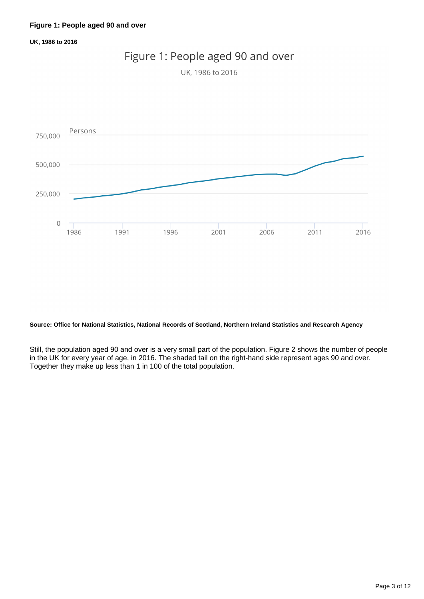**UK, 1986 to 2016**



#### **Source: Office for National Statistics, National Records of Scotland, Northern Ireland Statistics and Research Agency**

Still, the population aged 90 and over is a very small part of the population. Figure 2 shows the number of people in the UK for every year of age, in 2016. The shaded tail on the right-hand side represent ages 90 and over. Together they make up less than 1 in 100 of the total population.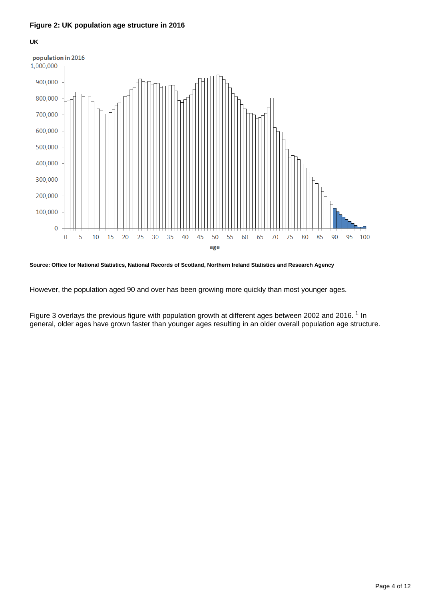#### **Figure 2: UK population age structure in 2016**

#### **UK**



#### **Source: Office for National Statistics, National Records of Scotland, Northern Ireland Statistics and Research Agency**

However, the population aged 90 and over has been growing more quickly than most younger ages.

Figure 3 overlays the previous figure with population growth at different ages between 2002 and 2016.<sup>1</sup> In general, older ages have grown faster than younger ages resulting in an older overall population age structure.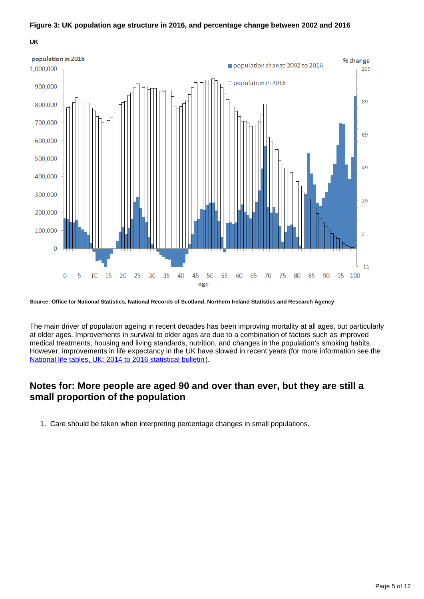#### **Figure 3: UK population age structure in 2016, and percentage change between 2002 and 2016**

**UK**



**Source: Office for National Statistics, National Records of Scotland, Northern Ireland Statistics and Research Agency**

The main driver of population ageing in recent decades has been improving mortality at all ages, but particularly at older ages. Improvements in survival to older ages are due to a combination of factors such as improved medical treatments, housing and living standards, nutrition, and changes in the population's smoking habits. However, improvements in life expectancy in the UK have slowed in recent years (for more information see the [National life tables, UK: 2014 to 2016 statistical bulletin](https://www.ons.gov.uk/peoplepopulationandcommunity/birthsdeathsandmarriages/lifeexpectancies/bulletins/nationallifetablesunitedkingdom/2014to2016)).

### **Notes for: More people are aged 90 and over than ever, but they are still a small proportion of the population**

1. Care should be taken when interpreting percentage changes in small populations.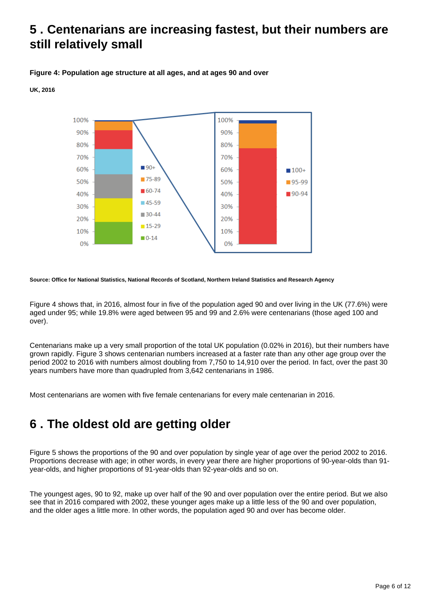### <span id="page-5-0"></span>**5 . Centenarians are increasing fastest, but their numbers are still relatively small**

#### **Figure 4: Population age structure at all ages, and at ages 90 and over**

#### **UK, 2016**



#### **Source: Office for National Statistics, National Records of Scotland, Northern Ireland Statistics and Research Agency**

Figure 4 shows that, in 2016, almost four in five of the population aged 90 and over living in the UK (77.6%) were aged under 95; while 19.8% were aged between 95 and 99 and 2.6% were centenarians (those aged 100 and over).

Centenarians make up a very small proportion of the total UK population (0.02% in 2016), but their numbers have grown rapidly. Figure 3 shows centenarian numbers increased at a faster rate than any other age group over the period 2002 to 2016 with numbers almost doubling from 7,750 to 14,910 over the period. In fact, over the past 30 years numbers have more than quadrupled from 3,642 centenarians in 1986.

Most centenarians are women with five female centenarians for every male centenarian in 2016.

### <span id="page-5-1"></span>**6 . The oldest old are getting older**

Figure 5 shows the proportions of the 90 and over population by single year of age over the period 2002 to 2016. Proportions decrease with age; in other words, in every year there are higher proportions of 90-year-olds than 91 year-olds, and higher proportions of 91-year-olds than 92-year-olds and so on.

The youngest ages, 90 to 92, make up over half of the 90 and over population over the entire period. But we also see that in 2016 compared with 2002, these younger ages make up a little less of the 90 and over population, and the older ages a little more. In other words, the population aged 90 and over has become older.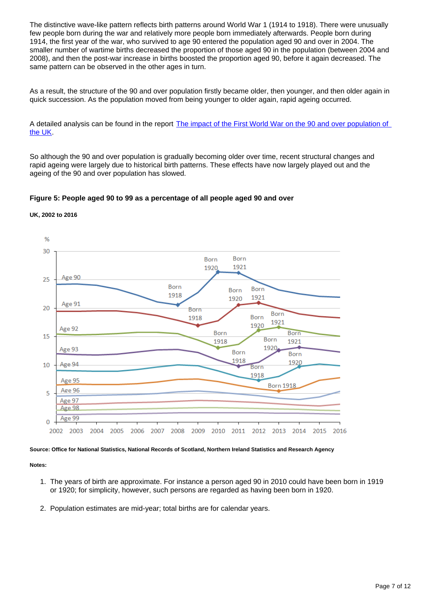The distinctive wave-like pattern reflects birth patterns around World War 1 (1914 to 1918). There were unusually few people born during the war and relatively more people born immediately afterwards. People born during 1914, the first year of the war, who survived to age 90 entered the population aged 90 and over in 2004. The smaller number of wartime births decreased the proportion of those aged 90 in the population (between 2004 and 2008), and then the post-war increase in births boosted the proportion aged 90, before it again decreased. The same pattern can be observed in the other ages in turn.

As a result, the structure of the 90 and over population firstly became older, then younger, and then older again in quick succession. As the population moved from being younger to older again, rapid ageing occurred.

A detailed analysis can be found in the report [The impact of the First World War on the 90 and over population of](https://www.ons.gov.uk/peoplepopulationandcommunity/birthsdeathsandmarriages/ageing/articles/theimpactofthefirstworldwaronthe90andoverpopulationoftheuk/2015)  [the UK.](https://www.ons.gov.uk/peoplepopulationandcommunity/birthsdeathsandmarriages/ageing/articles/theimpactofthefirstworldwaronthe90andoverpopulationoftheuk/2015)

So although the 90 and over population is gradually becoming older over time, recent structural changes and rapid ageing were largely due to historical birth patterns. These effects have now largely played out and the ageing of the 90 and over population has slowed.

#### **Figure 5: People aged 90 to 99 as a percentage of all people aged 90 and over**



#### **UK, 2002 to 2016**

**Source: Office for National Statistics, National Records of Scotland, Northern Ireland Statistics and Research Agency**

#### **Notes:**

- 1. The years of birth are approximate. For instance a person aged 90 in 2010 could have been born in 1919 or 1920; for simplicity, however, such persons are regarded as having been born in 1920.
- 2. Population estimates are mid-year; total births are for calendar years.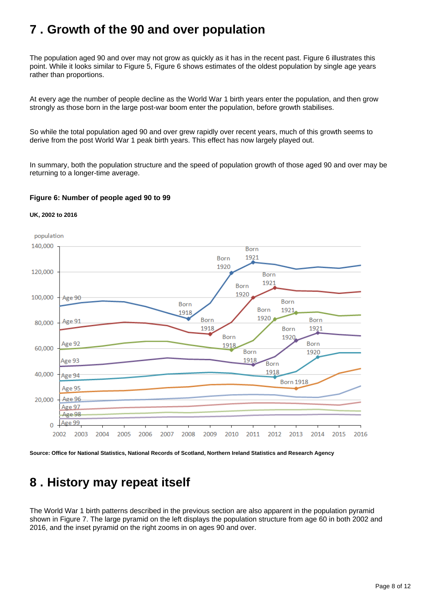### <span id="page-7-0"></span>**7 . Growth of the 90 and over population**

The population aged 90 and over may not grow as quickly as it has in the recent past. Figure 6 illustrates this point. While it looks similar to Figure 5, Figure 6 shows estimates of the oldest population by single age years rather than proportions.

At every age the number of people decline as the World War 1 birth years enter the population, and then grow strongly as those born in the large post-war boom enter the population, before growth stabilises.

So while the total population aged 90 and over grew rapidly over recent years, much of this growth seems to derive from the post World War 1 peak birth years. This effect has now largely played out.

In summary, both the population structure and the speed of population growth of those aged 90 and over may be returning to a longer-time average.

#### **Figure 6: Number of people aged 90 to 99**

#### **UK, 2002 to 2016**



**Source: Office for National Statistics, National Records of Scotland, Northern Ireland Statistics and Research Agency**

# <span id="page-7-1"></span>**8 . History may repeat itself**

The World War 1 birth patterns described in the previous section are also apparent in the population pyramid shown in Figure 7. The large pyramid on the left displays the population structure from age 60 in both 2002 and 2016, and the inset pyramid on the right zooms in on ages 90 and over.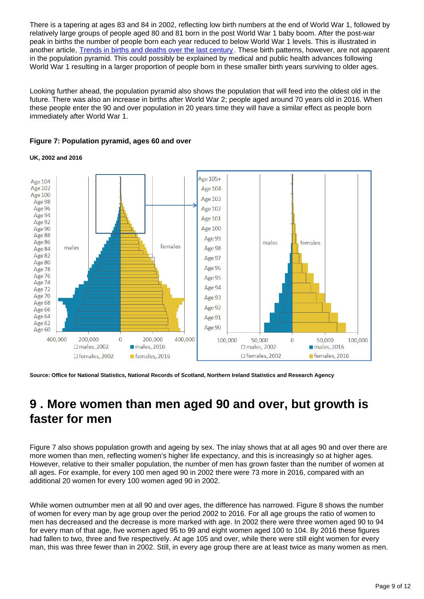There is a tapering at ages 83 and 84 in 2002, reflecting low birth numbers at the end of World War 1, followed by relatively large groups of people aged 80 and 81 born in the post World War 1 baby boom. After the post-war peak in births the number of people born each year reduced to below World War 1 levels. This is illustrated in another article, [Trends in births and deaths over the last century](http://visual.ons.gov.uk/birthsanddeaths/). These birth patterns, however, are not apparent in the population pyramid. This could possibly be explained by medical and public health advances following World War 1 resulting in a larger proportion of people born in these smaller birth years surviving to older ages.

Looking further ahead, the population pyramid also shows the population that will feed into the oldest old in the future. There was also an increase in births after World War 2; people aged around 70 years old in 2016. When these people enter the 90 and over population in 20 years time they will have a similar effect as people born immediately after World War 1.

#### **Figure 7: Population pyramid, ages 60 and over**

**UK, 2002 and 2016**



**Source: Office for National Statistics, National Records of Scotland, Northern Ireland Statistics and Research Agency**

### <span id="page-8-0"></span>**9 . More women than men aged 90 and over, but growth is faster for men**

Figure 7 also shows population growth and ageing by sex. The inlay shows that at all ages 90 and over there are more women than men, reflecting women's higher life expectancy, and this is increasingly so at higher ages. However, relative to their smaller population, the number of men has grown faster than the number of women at all ages. For example, for every 100 men aged 90 in 2002 there were 73 more in 2016, compared with an additional 20 women for every 100 women aged 90 in 2002.

While women outnumber men at all 90 and over ages, the difference has narrowed. Figure 8 shows the number of women for every man by age group over the period 2002 to 2016. For all age groups the ratio of women to men has decreased and the decrease is more marked with age. In 2002 there were three women aged 90 to 94 for every man of that age, five women aged 95 to 99 and eight women aged 100 to 104. By 2016 these figures had fallen to two, three and five respectively. At age 105 and over, while there were still eight women for every man, this was three fewer than in 2002. Still, in every age group there are at least twice as many women as men.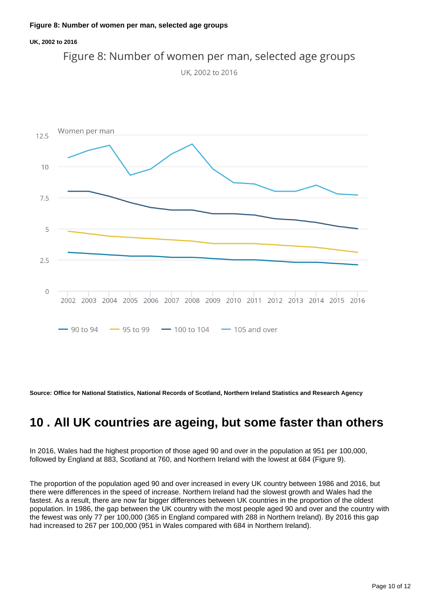#### **UK, 2002 to 2016**





**Source: Office for National Statistics, National Records of Scotland, Northern Ireland Statistics and Research Agency**

### <span id="page-9-0"></span>**10 . All UK countries are ageing, but some faster than others**

In 2016, Wales had the highest proportion of those aged 90 and over in the population at 951 per 100,000, followed by England at 883, Scotland at 760, and Northern Ireland with the lowest at 684 (Figure 9).

The proportion of the population aged 90 and over increased in every UK country between 1986 and 2016, but there were differences in the speed of increase. Northern Ireland had the slowest growth and Wales had the fastest. As a result, there are now far bigger differences between UK countries in the proportion of the oldest population. In 1986, the gap between the UK country with the most people aged 90 and over and the country with the fewest was only 77 per 100,000 (365 in England compared with 288 in Northern Ireland). By 2016 this gap had increased to 267 per 100,000 (951 in Wales compared with 684 in Northern Ireland).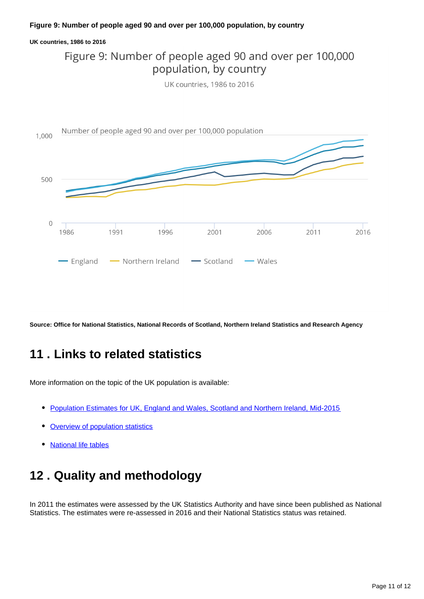#### **Figure 9: Number of people aged 90 and over per 100,000 population, by country**

#### **UK countries, 1986 to 2016**

### Figure 9: Number of people aged 90 and over per 100,000 population, by country

UK countries, 1986 to 2016



**Source: Office for National Statistics, National Records of Scotland, Northern Ireland Statistics and Research Agency**

### <span id="page-10-0"></span>**11 . Links to related statistics**

More information on the topic of the UK population is available:

- [Population Estimates for UK, England and Wales, Scotland and Northern Ireland, Mid-2015](https://www.ons.gov.uk/peoplepopulationandcommunity/populationandmigration/populationestimates/bulletins/annualmidyearpopulationestimates/previousReleases)
- [Overview of population statistics](http://www.ons.gov.uk/ons/guide-method/method-quality/specific/population-and-migration/an-overview-of-ons-s-population-statistics/index.html)
- [National life tables](https://www.ons.gov.uk/peoplepopulationandcommunity/birthsdeathsandmarriages/lifeexpectancies/bulletins/nationallifetablesunitedkingdom/previousReleases)

### <span id="page-10-1"></span>**12 . Quality and methodology**

In 2011 the estimates were assessed by the UK Statistics Authority and have since been published as National Statistics. The estimates were re-assessed in 2016 and their National Statistics status was retained.